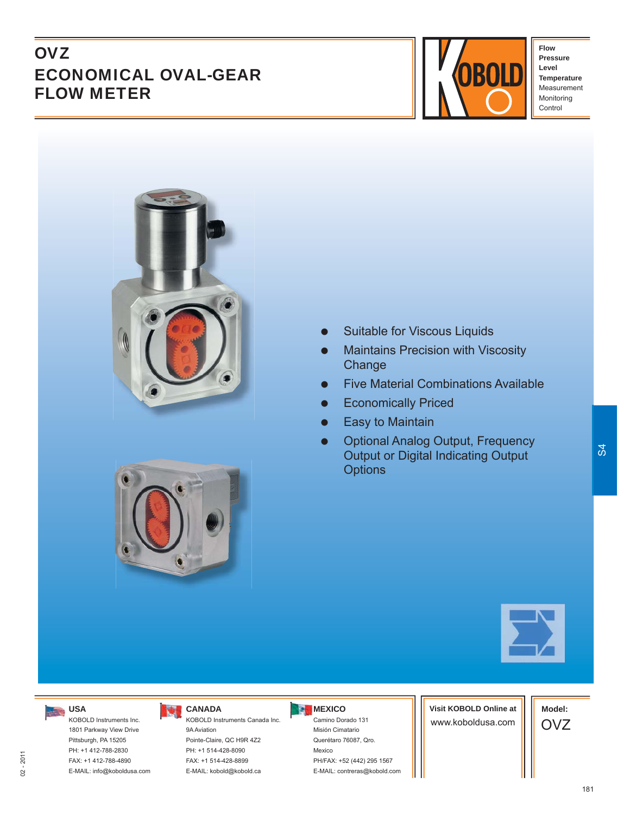# **OVZ** ECONOMICAL OVAL-GEAR FLOW METER



**Flow Pressure Level Temperature** Measurement Monitoring Control



- Suitable for Viscous Liquids
- Maintains Precision with Viscosity **Change**
- Five Material Combinations Available
- Economically Priced
- **•** Easy to Maintain
- Optional Analog Output, Frequency Output or Digital Indicating Output **Options**





## **USA**

KOBOLD Instruments Inc. 1801 Parkway View Drive Pittsburgh, PA 15205 PH: +1 412-788-2830 FAX: +1 412-788-4890 E-MAIL: info@koboldusa.com

## **CANADA**

KOBOLD Instruments Canada Inc. 9A Aviation Pointe-Claire, QC H9R 4Z2 PH: +1 514-428-8090 FAX: +1 514-428-8899 E-MAIL: kobold@kobold.ca

#### **MEXICO**

Camino Dorado 131 Misión Cimatario Querétaro 76087, Qro. Mexico PH/FAX: +52 (442) 295 1567 E-MAIL: contreras@kobold.com **Visit KOBOLD Online at** www.koboldusa.com

**Model:** OVZ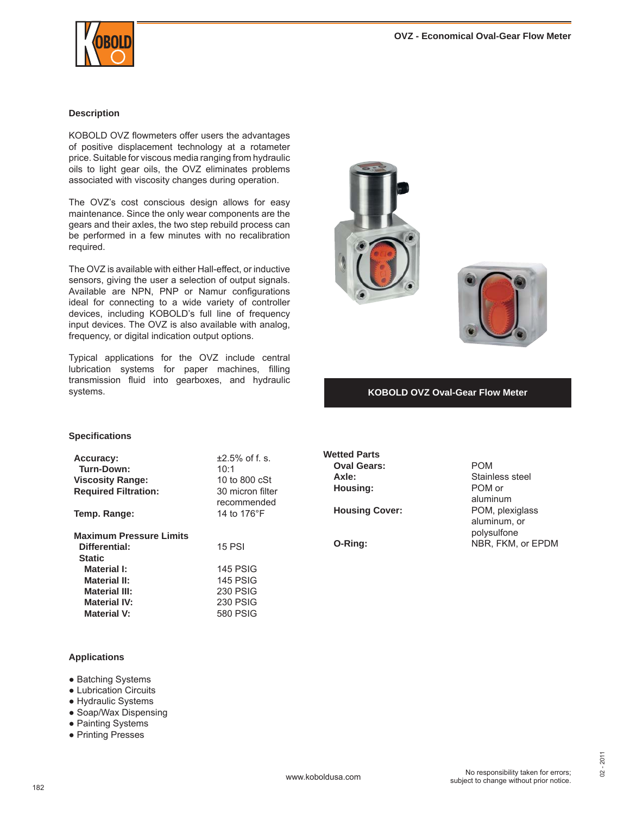

#### **Description**

KOBOLD OVZ flowmeters offer users the advantages of positive displacement technology at a rotameter price. Suitable for viscous media ranging from hydraulic oils to light gear oils, the OVZ eliminates problems associated with viscosity changes during operation.

The OVZ's cost conscious design allows for easy maintenance. Since the only wear components are the gears and their axles, the two step rebuild process can be performed in a few minutes with no recalibration required.

The OVZ is available with either Hall-effect, or inductive sensors, giving the user a selection of output signals. Available are NPN, PNP or Namur configurations ideal for connecting to a wide variety of controller devices, including KOBOLD's full line of frequency input devices. The OVZ is also available with analog, frequency, or digital indication output options.

Typical applications for the OVZ include central lubrication systems for paper machines, filling transmission fluid into gearboxes, and hydraulic systems. **KOBOLD OVZ Oval-Gear Flow Meter**





#### **Specifi cations**

| <b>Accuracy:</b>               | $+2.5%$ of f. s. |
|--------------------------------|------------------|
| Turn-Down:                     | 10:1             |
| <b>Viscosity Range:</b>        | 10 to 800 cSt    |
| <b>Required Filtration:</b>    | 30 micron filter |
|                                | recommended      |
| Temp. Range:                   | 14 to 176°F      |
|                                |                  |
| <b>Maximum Pressure Limits</b> |                  |
| Differential:                  | <b>15 PSI</b>    |
| <b>Static</b>                  |                  |
| Material I:                    | <b>145 PSIG</b>  |
| <b>Material II:</b>            | <b>145 PSIG</b>  |
| <b>Material III:</b>           | <b>230 PSIG</b>  |
| <b>Material IV:</b>            | <b>230 PSIG</b>  |
| <b>Material V:</b>             | 580 PSIG         |
|                                |                  |

## **Wetted Parts Oval Gears:** POM **Housing:** POM or

Axle: **Axle:** Stainless steel aluminum **Housing Cover:** POM, plexiglass aluminum, or polysulfone **O-Ring:** NBR, FKM, or EPDM

#### **Applications**

- Batching Systems
- Lubrication Circuits
- Hydraulic Systems
- Soap/Wax Dispensing
- Painting Systems
- Printing Presses

02 - 2011

2011  $\dot{8}$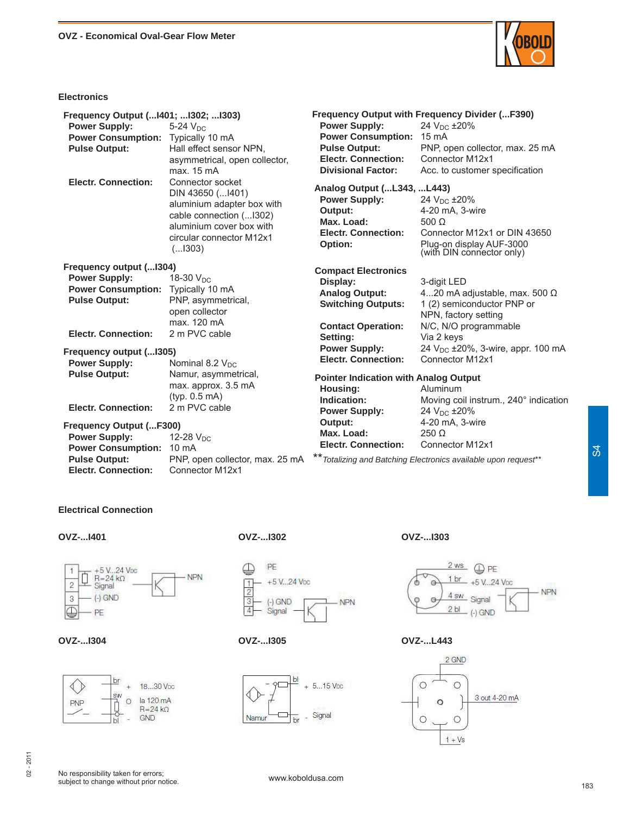

#### **Electronics**

| Frequency Output ( 1401;  1302;  1303)<br><b>Power Supply:</b><br><b>Power Consumption:</b><br><b>Pulse Output:</b>                       | $5-24$ $VDC$<br>Typically 10 mA<br>Hall effect sensor NPN,<br>asymmetrical, open collector,<br>max. 15 mA                                                          | <b>Power Supply:</b><br><b>Power Consumption: 15 mA</b><br><b>Pulse Output:</b><br><b>Electr. Connection:</b><br><b>Divisional Factor:</b>            | <b>Frequency Output with Frequency Divider (F390)</b><br>24 $V_{DC}$ ±20%<br>PNP, open collector, max. 25 mA<br>Connector M12x1<br>Acc. to customer specification |
|-------------------------------------------------------------------------------------------------------------------------------------------|--------------------------------------------------------------------------------------------------------------------------------------------------------------------|-------------------------------------------------------------------------------------------------------------------------------------------------------|-------------------------------------------------------------------------------------------------------------------------------------------------------------------|
| <b>Electr. Connection:</b>                                                                                                                | Connector socket<br>DIN 43650 ( 1401)<br>aluminium adapter box with<br>cable connection ( 1302)<br>aluminium cover box with<br>circular connector M12x1<br>(.1303) | Analog Output ( L343,  L443)<br><b>Power Supply:</b><br>Output:<br>Max. Load:<br><b>Electr. Connection:</b><br>Option:                                | 24 V <sub>DC</sub> ±20%<br>4-20 mA, 3-wire<br>$500 \Omega$<br>Connector M12x1 or DIN 43650<br>Plug-on display AUF-3000<br>(with DIN connector only)               |
| Frequency output ( 1304)<br><b>Power Supply:</b><br><b>Power Consumption:</b><br><b>Pulse Output:</b><br><b>Electr. Connection:</b>       | 18-30 $V_{DC}$<br>Typically 10 mA<br>PNP, asymmetrical,<br>open collector<br>max. 120 mA<br>2 m PVC cable                                                          | <b>Compact Electronics</b><br>Display:<br><b>Analog Output:</b><br><b>Switching Outputs:</b><br><b>Contact Operation:</b><br>Setting:                 | 3-digit LED<br>420 mA adjustable, max. 500 $\Omega$<br>1 (2) semiconductor PNP or<br>NPN, factory setting<br>N/C, N/O programmable<br>Via 2 keys                  |
| Frequency output ( 1305)<br><b>Power Supply:</b><br><b>Pulse Output:</b><br><b>Electr. Connection:</b>                                    | Nominal 8.2 $V_{DC}$<br>Namur, asymmetrical,<br>max. approx. 3.5 mA<br>(tvp. 0.5 mA)<br>2 m PVC cable                                                              | <b>Power Supply:</b><br><b>Electr. Connection:</b><br><b>Pointer Indication with Analog Output</b><br>Housing:<br>Indication:<br><b>Power Supply:</b> | 24 $V_{DC}$ ±20%, 3-wire, appr. 100 mA<br>Connector M12x1<br>Aluminum<br>Moving coil instrum., 240° indication<br>24 V <sub>DC</sub> ±20%                         |
| <b>Frequency Output (F300)</b><br><b>Power Supply:</b><br><b>Power Consumption:</b><br><b>Pulse Output:</b><br><b>Electr. Connection:</b> | 12-28 V <sub>DC</sub><br>10 $mA$<br>PNP, open collector, max. 25 mA<br>Connector M12x1                                                                             | Output:<br>Max. Load:<br><b>Electr. Connection:</b>                                                                                                   | 4-20 mA, 3-wire<br>$250 \Omega$<br>Connector M12x1<br>** Totalizing and Batching Electronics available upon request**                                             |

### **Electrical Connection**

**OVZ-...I401 OVZ-...I302 OVZ-...I303**











**OVZ-...I304 OVZ-...I305 OVZ-...L443**

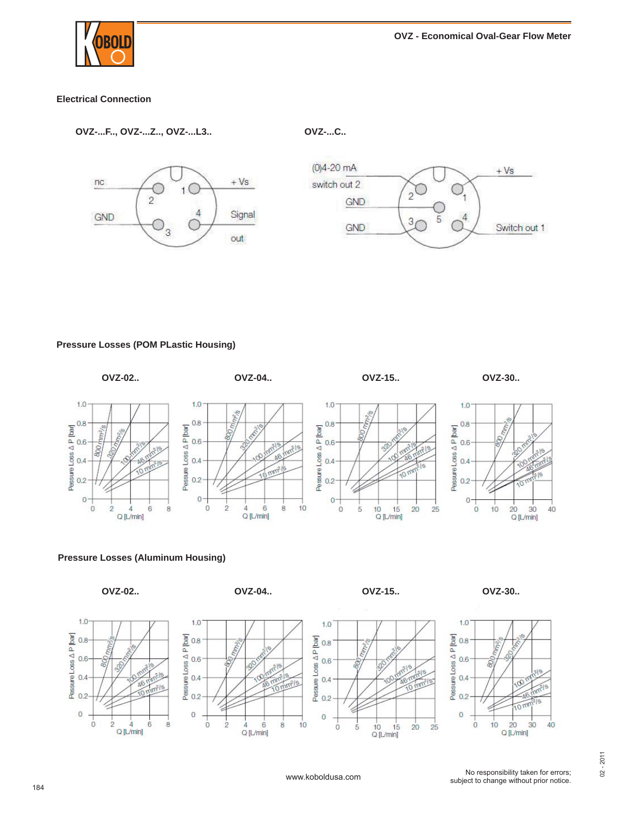

### **Electrical Connection**

**OVZ-...F.., OVZ-...Z.., OVZ-...L3.. OVZ-...C..**



#### **Pressure Losses (POM PLastic Housing)**



#### **Pressure Losses (Aluminum Housing)**















 $10$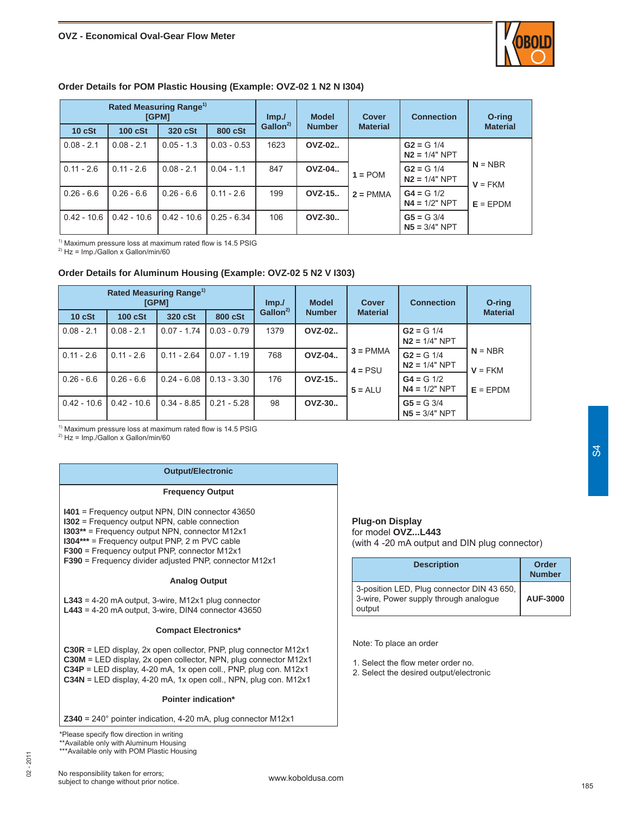

#### **Order Details for POM Plastic Housing (Example: OVZ-02 1 N2 N I304)**

| Rated Measuring Range <sup>1)</sup><br>[GPM] |                |               | Imp.          | <b>Model</b>                         | Cover         | <b>Connection</b> | O-ring                          |                        |
|----------------------------------------------|----------------|---------------|---------------|--------------------------------------|---------------|-------------------|---------------------------------|------------------------|
| 10 cSt                                       | <b>100 cSt</b> | 320 cSt       | 800 cSt       | Gallon <sup>2</sup><br><b>Number</b> |               | <b>Material</b>   |                                 | <b>Material</b>        |
| $0.08 - 2.1$                                 | $0.08 - 2.1$   | $0.05 - 1.3$  | $0.03 - 0.53$ | 1623                                 | <b>OVZ-02</b> |                   | $G2 = G 1/4$<br>$N2 = 1/4" NPT$ |                        |
| $0.11 - 2.6$                                 | $0.11 - 2.6$   | $0.08 - 2.1$  | $0.04 - 1.1$  | 847                                  | <b>OVZ-04</b> | $1 = POM$         | $G2 = G 1/4$<br>$N2 = 1/4" NPT$ | $N = NBR$<br>$V = FKM$ |
| $0.26 - 6.6$                                 | $0.26 - 6.6$   | $0.26 - 6.6$  | $0.11 - 2.6$  | 199                                  | OVZ-15        | $2 = PMMA$        | $G4 = G 1/2$<br>$N4 = 1/2" NPT$ | $E = EPDM$             |
| $0.42 - 10.6$                                | $0.42 - 10.6$  | $0.42 - 10.6$ | $0.25 - 6.34$ | 106                                  | OVZ-30        |                   | $G5 = G 3/4$<br>$N5 = 3/4" NPT$ |                        |

 $1)$  Maximum pressure loss at maximum rated flow is 14.5 PSIG

 $^{2)}$  Hz = Imp./Gallon x Gallon/min/60

#### **Order Details for Aluminum Housing (Example: OVZ-02 5 N2 V I303)**

|               | Rated Measuring Range <sup>1)</sup> | [GPM]         |               | Imp.                            | <b>Model</b> | Cover                   | <b>Connection</b>               | O-ring                 |
|---------------|-------------------------------------|---------------|---------------|---------------------------------|--------------|-------------------------|---------------------------------|------------------------|
| 10 cSt        | 100 cSt                             | 320 cSt       | 800 cSt       | Gallon $^{2)}$<br><b>Number</b> |              | <b>Material</b>         |                                 | <b>Material</b>        |
| $0.08 - 2.1$  | $0.08 - 2.1$                        | $0.07 - 1.74$ | $0.03 - 0.79$ | 1379                            | OVZ-02       |                         | $G2 = G 1/4$<br>$N2 = 1/4" NPT$ |                        |
| $0.11 - 2.6$  | $0.11 - 2.6$                        | $0.11 - 2.64$ | $0.07 - 1.19$ | 768                             | OVZ-04       | $3 = PMMA$<br>$4 = PSU$ | $G2 = G 1/4$<br>$N2 = 1/4" NPT$ | $N = NBR$<br>$V = FKM$ |
| $0.26 - 6.6$  | $0.26 - 6.6$                        | $0.24 - 6.08$ | $0.13 - 3.30$ | 176                             | OVZ-15       | $5 = ALU$               | $G4 = G 1/2$<br>$N4 = 1/2" NPT$ | $E = EPDM$             |
| $0.42 - 10.6$ | $0.42 - 10.6$                       | $0.34 - 8.85$ | $0.21 - 5.28$ | 98                              | OVZ-30       |                         | $G5 = G 3/4$<br>$NS = 3/4" NPT$ |                        |

 $<sup>1)</sup>$  Maximum pressure loss at maximum rated flow is 14.5 PSIG</sup>

 $^{2)}$  Hz = Imp./Gallon x Gallon/min/60

#### **Output/Electronic**

#### **Frequency Output**

**I401** = Frequency output NPN, DIN connector 43650

**I302** = Frequency output NPN, cable connection

**I303\*\*** = Frequency output NPN, connector M12x1

**I304\*\*\*** = Frequency output PNP, 2 m PVC cable

**F300** = Frequency output PNP, connector M12x1

**F390** = Frequency divider adjusted PNP, connector M12x1

#### **Analog Output**

**L343** = 4-20 mA output, 3-wire, M12x1 plug connector **L443** = 4-20 mA output, 3-wire, DIN4 connector 43650

#### **Compact Electronics\***

**C30R** = LED display, 2x open collector, PNP, plug connector M12x1 **C30M** = LED display, 2x open collector, NPN, plug connector M12x1 **C34P** = LED display, 4-20 mA, 1x open coll., PNP, plug con. M12x1 **C34N** = LED display, 4-20 mA, 1x open coll., NPN, plug con. M12x1

#### **Pointer indication\***

**Z340** = 240° pointer indication, 4-20 mA, plug connector M12x1

\*Please specify flow direction in writing

\*\*Available only with Aluminum Housing

\*\*\*Available only with POM Plastic Housing

### **Plug-on Display**

for model **OVZ...L443** (with 4 -20 mA output and DIN plug connector)

| <b>Description</b>                                                                            | Order<br><b>Number</b> |
|-----------------------------------------------------------------------------------------------|------------------------|
| 3-position LED, Plug connector DIN 43 650,<br>3-wire, Power supply through analogue<br>output | <b>AUF-3000</b>        |

Note: To place an order

- 1. Select the flow meter order no.
- 2. Select the desired output/electronic

02 - 2011

2011  $\overline{c}$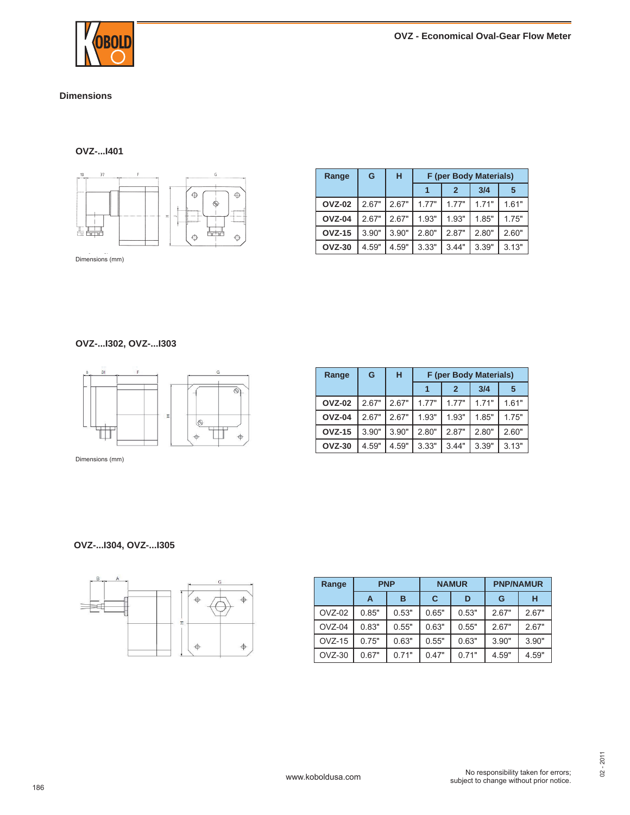

#### **Dimensions**

### **OVZ-...I401**



| Range         | G     | н     | F (per Body Materials) |                  |       |       |
|---------------|-------|-------|------------------------|------------------|-------|-------|
|               |       |       |                        | $\boldsymbol{c}$ | 3/4   | 5     |
| <b>OVZ-02</b> | 267"  | 2.67" | 177"                   | 177"             | 171"  | 1.61" |
| <b>OVZ-04</b> | 267"  | 267"  | 1.93"                  | 1.93"            | 1.85" | 1.75" |
| <b>OVZ-15</b> | 3.90" | 3.90" | 2.80"                  | 2.87"            | 2.80" | 2.60" |
| <b>OVZ-30</b> | 4.59" | 4.59" | 3.33"                  | 3.44"            | 3.39" | 3.13" |

#### **OVZ-...I302, OVZ-...I303**



Dimensions (mm)

| Range         | G     | н     | F (per Body Materials) |                |        |       |
|---------------|-------|-------|------------------------|----------------|--------|-------|
|               |       |       |                        | $\overline{2}$ | 3/4    | 5     |
| <b>OVZ-02</b> | 2.67" | 2.67" | 1.77"                  | 1 77"          | 1 7 1" | 1.61" |
| <b>OVZ-04</b> | 2.67" | 267"  | 1.93"                  | 1.93"          | 1.85"  | 1.75" |
| <b>OVZ-15</b> | 3.90" | 3.90" | 2.80"                  | 2.87"          | 2.80"  | 2.60" |
| <b>OVZ-30</b> | 4.59" | 4.59" | 3.33"                  | 3.44"          | 3.39"  | 3.13" |

#### **OVZ-...I304, OVZ-...I305**



| Range    | <b>PNP</b> |       | <b>NAMUR</b> |       |       | <b>PNP/NAMUR</b> |
|----------|------------|-------|--------------|-------|-------|------------------|
|          | A          | в     | C            | D     | G     | н                |
| $OVZ-02$ | 0.85"      | 0.53" | 0.65"        | 0.53" | 2.67" | 2.67"            |
| $OVZ-04$ | 0.83"      | 0.55" | 0.63"        | 0.55" | 2.67" | 2.67"            |
| $OVZ-15$ | 0.75"      | 0.63" | 0.55"        | 0.63" | 3.90" | 3.90"            |
| $OVZ-30$ | 0.67"      | 0.71" | 0.47"        | 0.71" | 4.59" | 4.59"            |

02 - 2011

 $02 - 2011$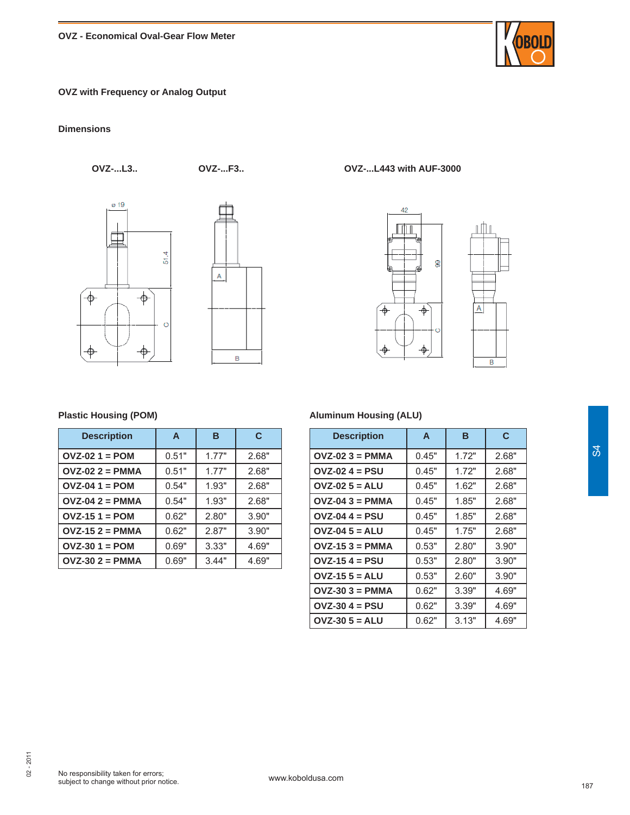### **OVZ with Frequency or Analog Output**

#### **Dimensions**







**OVZ-...L3.. OVZ-...F3.. OVZ-...L443 with AUF-3000**



#### **Plastic Housing (POM)**

| <b>Description</b> | $\mathbf{A}$ | в     | C     |
|--------------------|--------------|-------|-------|
| $OVZ-021 = POM$    | 0.51"        | 1.77" | 2.68" |
| $OVZ-022 = PMMA$   | 0.51"        | 1.77" | 2.68" |
| $OVZ-04$ 1 = POM   | 0.54"        | 1.93" | 2.68" |
| $OVZ-042 = PMMA$   | 0.54"        | 1.93" | 2.68" |
| $OVI-151 = POM$    | 0.62"        | 2.80" | 3.90" |
| $OVZ-152 = PMMA$   | 0.62"        | 2.87" | 3.90" |
| $OVI-301 = POM$    | 0.69"        | 3.33" | 4.69" |
| $OVZ-302 = PMMA$   | 0.69"        | 3.44" | 4.69" |

#### **Aluminum Housing (ALU)**

| <b>Description</b> | A     | в     | C     |
|--------------------|-------|-------|-------|
| $OVZ-023 = PMMA$   | 0.45" | 1.72" | 2.68" |
| $OVZ-02$ 4 = PSU   | 0.45" | 1.72" | 2.68" |
| $OVZ-025 = ALU$    | 0.45" | 1.62" | 2.68" |
| $OVZ-043 = PMMA$   | 0.45" | 1.85" | 2.68" |
| $OVZ-04$ 4 = PSU   | 0.45" | 1.85" | 2.68" |
| $OVZ-045 = ALU$    | 0.45" | 1.75" | 2.68" |
| $OVZ-153 = PMMA$   | 0.53" | 2.80" | 3.90" |
| $OVZ-15$ 4 = PSU   | 0.53" | 2.80" | 3.90" |
| $OVZ-155 = ALU$    | 0.53" | 2.60" | 3.90" |
| $OVZ-303 = PMMA$   | 0.62" | 3.39" | 4.69" |
| $OVZ-30$ 4 = PSU   | 0.62" | 3.39" | 4.69" |
| $OVZ-305 = ALU$    | 0.62" | 3.13" | 4.69" |



02 - 2011

 $02 - 2011$